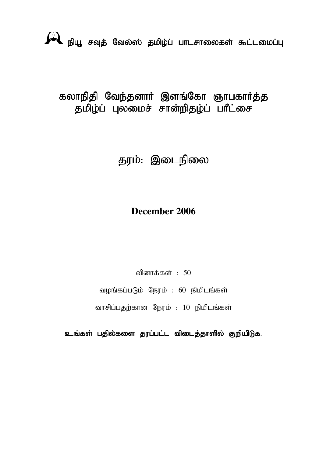# நியூ சவுத் வேல்ஸ் தமிழ்ப் பாடசாலைகள் கூட்டமைப்பு

# கலாநிதி வேந்தனாா் இளங்கோ ஞாபகாா்த்த தமிழ்ப் புலமைச் சான்றிதழ்ப் பாீட்சை

# தரம்: இடைநிலை

## **December 2006**

வினாக்கள் $: 50$ 

வழங்கப்படும் நேரம் : 60 நிமிடங்கள்

வாசிப்பதற்கான நேரம் : 10 நிமிடங்கள்

உங்கள் பதில்களை தரப்பட்ட விடைத்தாளில் குறியிடுக.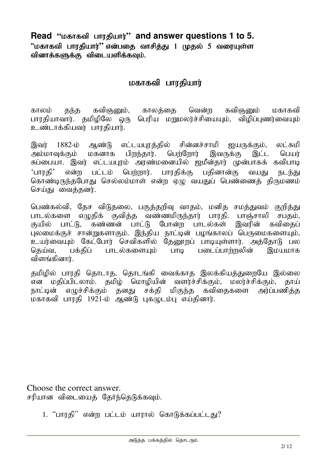Read "**D**  $\mu$ <sub>5</sub> and answer questions 1 to 5.  $"$ மகாகவி பாரதியார் $"$  என்பதை வாசித்து 1 முதல் 5 வரையுள்ள வினாக்களுக்கு விடையளிக்கவும்.

#### மகாகவி பாரதியார்

காலம் தந்த கவிஞனும், காலத்தை வென்ற கவிஞனும் மகாகவி பாரதியாவார். தமிழிலே ஒரு பெரிய மறுமலர்ச்சியையும், விழிப்புணர்வையும் உண்டாக்கியவர் பாாகியார்.

இவர் 1882-ம் ஆண்டு எட்டயபாத்தில் சின்னச்சாமி ஐயருக்கும், லட்சுமி அம்மாவுக்கும் மகனாக பிறந்தார். பெற்றோர் இவருக்கு இட்ட பெயர் சுப்பையா. இவர் எட்டயபுரம் அரண்மனையில் ஜமீன்தார் முன்பாகக் கவிபாடி 'பாரதி' என்ற பட்டம் பெற்றார். பாரதிக்கு பதினான்கு வயது நடந்து கொண்டிருந்தபோது செல்லம்மாள் என்ற ஏழு வயதுப் பெண்ணைத் திருமணம் செய்து வைக்கனர்.

பெண்கல்வி, தேச விடுதலை, பகுத்தறிவு வாதம், மனித சமத்துவம் குறித்து பாடல்களை எழுதிக் குவித்த வண்ணமிருந்தார் பாரதி. பாஞ்சாலி சபதம், குயில் பாட்டு, கண்ணன் பாட்டு போன்ற பாடல்கள் இவரின் கவிகைப் புலமைக்குச் சான்றுகளாகும். இந்திய நாட்டின் பழங்காலப் பெருமைகளையும், உயர்வையும் கேட்போர் செவிகளில் தேனூறப் பாடியுள்ளார். அத்தோடு பல கெய்வ, பக்கிப் பாடல்களையம் பாடி படைப்பாள்ஸலின் இமயமாக விளங்கினார்.

தமிழில் பாரதி தொடாத, தொடங்கி வைக்காத இலக்கியத்துறையே இல்லை என மதிப்பிடலாம். தமிழ் மொழியின் வளர்ச்சிக்கும், மலர்ச்சிக்கும், தாய் நாட்டின் எழுச்சிக்கும் தனது சக்தி மிகுந்த கவிதைகளை அர்ப்பணித்த மகாகவி பாாதி 1921-ம் ஆண்டு பகமுடம்ப எய்கினார்.

Choose the correct answer. சரியான விடையைத் தேர்ந்தெடுக்கவும்.

1. "பாரதி" என்ற பட்டம் யாரால் கொடுக்கப்பட்டது?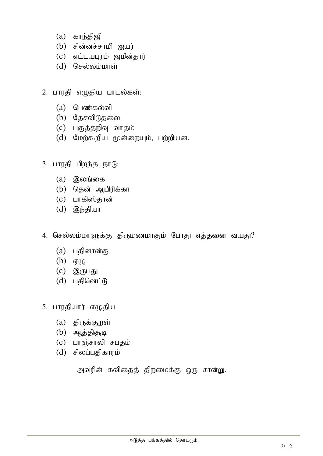- $(a)$  காந்திஜி
- $(b)$  சின்னச்சாமி ஐயர்
- $(c)$  எட்டயபுரம் ஜமீன்தார்
- $(d)$  செல்லம்மாள்
- 2. பாரதி எழுதிய பாடல்கள்:
	- $(a)$  பெண்கல்வி
	- $(b)$  தேசவிடுதலை
	- $(c)$  பகுத்தறிவு வாதம்
	- $(d)$  மேற்கூறிய மூன்றையும், பற்றியன.
- $3.$  பாரதி பிறந்த நாடு:
	- $(a)$  இலங்கை
	- $(b)$  தென் ஆபிரிக்கா
	- $(c)$  பாகிஸ்தான்
	- $(d)$  இந்தியா
- 4. செல்லம்மாளுக்கு திருமணமாகும் போது எத்தனை வயது?
	- $(a)$  பதினான்கு
	- $(b)$   $\sigma(\phi)$
	- $(c)$  இருபது
	- $(d)$  பதினெட்டு
- 5. பாரதியார் எழுதிய
	- $(a)$  திருக்குறள்
	- $(b)$  ஆத்திசூடி
	- $(c)$  பாஞ்சாலி சபதம்
	- $(d)$  சிலப்பதிகாரம்

அவரின் கவிதைத் திறமைக்கு ஒரு சான்று.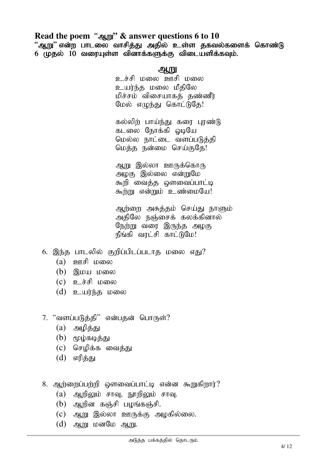#### Read the poem "அறு" & answer questions 6 to 10

"ஆறு" என்ற பாடலை வாசித்து அதில் உள்ள தகவல்களைக் கொண்டு 6 (முதல் 10 வரையுள்ள வினாக்களுக்கு விடையளிக்கவும்.

#### $\mathbf{R}$

உச்சி மலை ஊசி மலை உயர்ந்த மலை மீதிலே மிச்சம் விசையாகத் தண்ணீர் மேல் எமுந்து கொட்டுதே!

கல்லிற் பாய்ந்து கரை பூண்டு கடலை நோக்கி ஒடியே மெல்ல நாட்டை வளப்படுத்தி மெத்த நன்மை செய்குதே!

ஆறு இல்லா ஊருக்கொரு அழகு இல்லை என்றுமே கூறி வைத்த ஔவைப்பாட்டி கூற்று என்றும் உண்மையே!

ஆற்றை அசுத்தம் செய்து நாளும் அதிலே நஞ்சைக் கலக்கினால் நேற்று வரை இருந்த அழகு நீங்கி வரட்சி காட்டுமே!

- 6. இந்த பாடலில் குறிப்பிடப்படாக மலை எகு?
	- $(a)$  **p**  $\text{mF}$  to  $\text{m}$
	- $(b)$  இமய மலை
	- $(c)$  உச்சி மலை
	- $(d)$  உயர்ந்த மலை
- 7. "வளப்படுத்தி" என்பதன் பொருள்?
	- $(a)$  அழித்து
	- $(b)$  மூழ்கடித்து
	- $(c)$  செமிக்க வைத்து
	- $(d)$  எரித்து
- 8. ஆற்றைப்பற்றி ஒளவைப்பாட்டி என்ன கூறுகிறார்?
	- $(a)$  ஆறிலும் சாவு, நூறிலும் சாவு.
	- $(b)$  அறின கஞ்சி பழங்கஞ்சி.
	- $(C)$  ஆறு இல்லா ஊருக்கு அழகில்லை.
	- $(d)$  ஆறு மனமே ஆறு.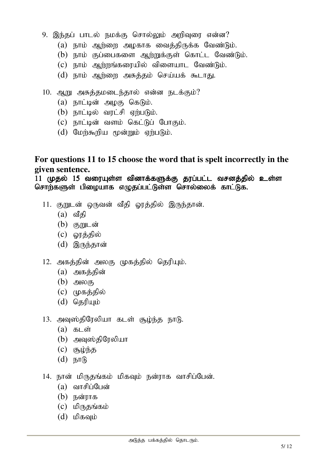- 9. இந்தப் பாடல் நமக்கு சொல்லும் அறிவுரை என்ன?
	- $(a)$  நாம் ஆற்றை அழகாக வைத்திருக்க வேண்டும்.
	- $(b)$  நாம் குப்பைகளை ஆற்றுக்குள் கொட்ட வேண்டும்.
	- $(c)$  நாம் ஆற்றங்கரையில் விளையாட வேண்டும்.
	- $(d)$  நாம் ஆற்றை அசுத்தம் செய்யக் கூடாது.
- 10. ஆறு அசுத்தமடைந்தால் என்ன நடக்கும்?
	- $(a)$  நாட்டின் அழகு கெடும்.
	- $(b)$  நாட்டில் வரட்சி ஏற்படும்.
	- $(c)$  நாட்டின் வளம் கெட்டுப் போகும்.
	- $(d)$  மேற்கூறிய மூன்றும் ஏற்படும்.

#### **For questions 11 to 15 choose the word that is spelt incorrectly in the given sentence.**

11 முதல் 15 வரையுள்ள வினாக்களுக்கு தரப்பட்ட வசனத்தில் உள்ள சொற்களுள் பிழையாக எழுதப்பட்டுள்ள சொல்லைக் காட்டுக.

- 11. குறுடன் ஒருவன் வீதி ஓரத்தில் இருந்தான்.
	- $(a)$  வீதி
	- $(b)$  குறுடன்
	- $(c)$  ஓரத்தில்
	- $(d)$  இருந்தான்
- 12. அகத்தின் அலகு முகத்தில் தெரியும்.
	- $(a)$  அகத்தின்
	- $(b)$  அலகு
	- $(c)$  (முகத்தில்
	- $(d)$  தெரியும்
- 13. அவுஸ்திரேலியா கடள் சூழ்ந்த நாடு.
	- $(a)$   $B<sub>L</sub>$ ள்
	- $(b)$  அவுஸ்திரேலியா
	- $(c)$   $(5, 10)$
	- $(d)$   $E\text{tr}(R)$
- 14. நான் மிருதங்கம் மிகவும் நன்ராக வாசிப்பேன்.
	- $(a)$  வாசிப்பேன்
	- $(b)$  நன்ராக
	- $(c)$  மிருதங்கம்
	- $(d)$  மிகவும்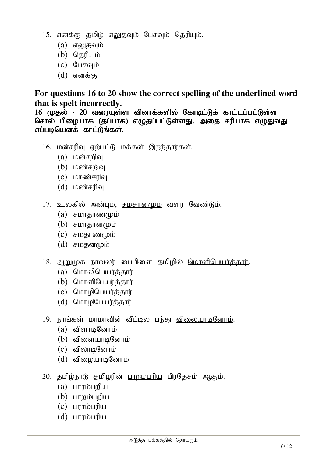- 15. எனக்கு தமிழ் எலுதவும் பேசவும் தெரியும்.
	- $(a)$  எலுகவும்
	- $(b)$  தெரியும்
	- $(c)$  பேசவும்
	- $(d)$  எனக்கு

#### **For questions 16 to 20 show the correct spelling of the underlined word that is spelt incorrectly.**

16 (முதல் - 20 வரையுள்ள வினாக்களில் கோடிட்டுக் காட்டப்பட்டுள்ள சொல் பிழையாக (தப்பாக) எழுதப்பட்டுள்ளது. அதை சரியாக எழுதுவது எப்படியெனக் காட்டுங்கள்.

- $16.$   $\underline{\text{LoS}}$   $\text{InS}$   $\text{InS}$   $\text{InS}$   $\text{InS}$   $\text{InS}$  ,  $\text{InS}$  ,  $\text{InS}$  ,  $\text{InS}$  ,  $\text{InS}$  ,  $\text{InS}$  ,  $\text{InS}$  ,  $\text{InS}$  ,  $\text{InS}$  ,  $\text{InS}$  ,  $\text{InS}$  ,  $\text{InS}$  ,  $\text{InS}$  ,  $\text{InS}$  ,  $\text{InS}$  ,  $\$ 
	- $(a)$  மன்சறிவு
	- $(b)$  மண்சரிவு
	- $(c)$  மாண்சரிவ
	- $(d)$   $L$  $\omega$  $\omega$  $\tau$  $\eta$  $\omega$
- $17.$  உலகில் அன்பம், சமகானமும் வளா வேண்டும்.
	- $(a)$  சமாதாணமும்
	- $(b)$  சமாதானமும்
	- $(c)$  சமகாணமும்
	- $(d)$  சமதனமும்
- 18. ஆறுமுக நாவலர் பைபிளை தமிழில் மொளிபெயர்க்கார்.
	- $(a)$  மொலிபெயர்க்கார்
	- $(b)$  மொளிபேயர்க்கார்
	- $(c)$  மொழிபெயர்த்தார்
	- $(d)$  மொழிபேயர்த்தார்
- 19. நாங்கள் மாமாவின் வீட்டில் பந்து <u>விலையாடினோம்</u>.
	- $(a)$  விளாடினோம்
	- $(b)$  விளையாடினோம்
	- $(c)$  விலாடினோம்
	- $(d)$  விமையாடினோம்
- $20.$  தமிழ்நாடு தமிழரின் பாறும்பரிய பிரதேசம் ஆகும்.
	- $(a)$  **LITTIDLING**
	- $(b)$  பாறம்பறிய
	- $(c)$  பராம்பரிய
	- $(d)$  பாரம்பரிய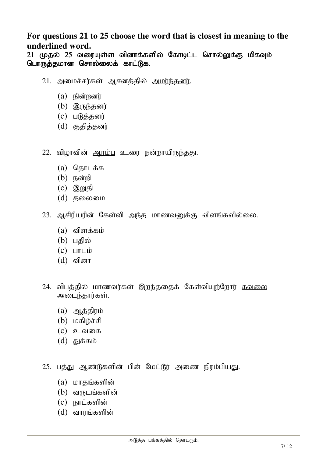#### **For questions 21 to 25 choose the word that is closest in meaning to the underlined word.**

21 முதல் 25 வரையுள்ள வினாக்களில் கோடிட்ட சொல்லுக்கு மிகவும் பொருத்தமான சொல்லைக் காட்டுக.

- 21. அமைச்சர்கள் ஆசனத்தில் அமர்ந்தனர்.
	- $(a)$  நின்றனர்
	- $(b)$  இருந்தனர்
	- $(c)$  படுத்தனர்
	- $(d)$  குதித்தனர்
- $22.$  விழாவின் ஆரம்பு உரை நன்றாயிருந்தது.
	- $(a)$  சொடக்க
	- $(b)$  நன்றி
	- $(c)$  இறுதி
	- $(d)$  கலைமை
- 23. ஆசிரியரின் <u>கேள்வி</u> அந்த மாணவனுக்கு விளங்கவில்லை.
	- $(a)$  விளக்கம்
	- $(b)$  பகில்
	- $(c)$   $L\nu$
	- $(d)$  வினா
- 24. விபத்தில் மாணவர்கள் இறந்ததைக் கேள்வியுற்றோர் <u>கவலை</u> அடைந்தார்கள்.
	- $(a)$  ஆத்திரம்
	- $(b)$  மகிழ்ச்சி
	- $(c)$  உவகை
	- $(d)$  துக்கம்
- 25. பத்து <u>ஆண்டுகளின்</u> பின் மேட்டூர் அணை நிரம்பியது.
	- $(a)$  மாதங்களின்
	- $(b)$  வருடங்களின்
	- $(c)$  நாட்களின்
	- $(d)$  வாரங்களின்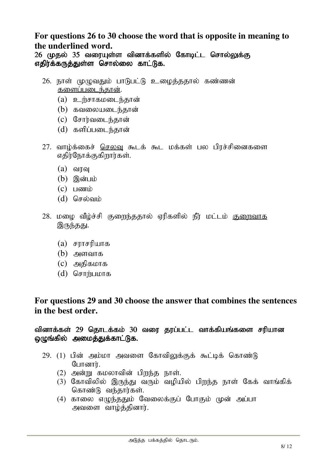#### **For questions 26 to 30 choose the word that is opposite in meaning to the underlined word.**

26 முதல் 35 வரையுள்ள வினாக்களில் கோடிட்ட சொல்லுக்கு எதிர்க்கருத்துள்ள சொல்லை காட்டுக.

- 26. நாள் முழுவதும் பாடுபட்டு உழைத்ததால் கண்ணன் களைப்படைந்கான்.
	- $(a)$  **p**  $\dot{B}$   $\ddot{B}$   $\ddot{B}$   $\ddot{B}$   $\ddot{B}$   $\ddot{B}$   $\ddot{B}$   $\ddot{B}$   $\ddot{B}$   $\ddot{B}$   $\ddot{B}$   $\ddot{B}$   $\ddot{B}$   $\ddot{B}$   $\ddot{B}$   $\ddot{B}$   $\ddot{B}$   $\ddot{B}$   $\ddot{B}$   $\ddot{B}$   $\ddot{B}$   $\ddot{B}$   $\ddot{B}$   $\ddot{B$
	- $(b)$  கவலையடைந்தான்
	- $(c)$  சோர்வடைந்தான்
	- $(d)$  களிப்படைந்தான்
- 27. வாழ்க்கைச் <u>செலவு</u> கூடக் கூட மக்கள் பல பிரச்சினைகளை எதிர்நோக்குகிறார்கள்.
	- $(a)$  வாவ
	- $(b)$  இன்பம்
	- $(c)$   $\Box$ com $\dot{\mathbf{D}}$
	- $(d)$  செல்வம்
- 28. மழை வீழ்ச்சி குறைந்ததால் ஏரிகளில் நீர் மட்டம் <u>குறைவாக</u> இருந்தது.
	- $(a)$  சாாசரியாக
	- $(b)$  அளவாக
	- $(c)$  அகிகமாக
	- $(d)$  சொற்பமாக

#### **For questions 29 and 30 choose the answer that combines the sentences in the best order.**

வினாக்கள் 29 தொடக்கம் 30 வரை தரப்பட்ட வாக்கியங்களை சரியான ஒழுங்கில் அமைத்துக்காட்டுக.

- $29.$   $(1)$  பின் அம்மா அவளை கோவிலுக்குக் கூட்டிக் கொண்டு போனார்.
	- $(2)$  அன்று கமலாவின் பிறந்த நாள்.
	- (3) கோவிலில் இருந்து வரும் வழியில் பிறந்த நாள் கேக் வாங்கிக் கொண்டு வந்தார்கள்.
	- $(4)$  காலை எழுந்ததும் வேலைக்குப் போகும் முன் அப்பா அவளை வாழ்த்தினார்.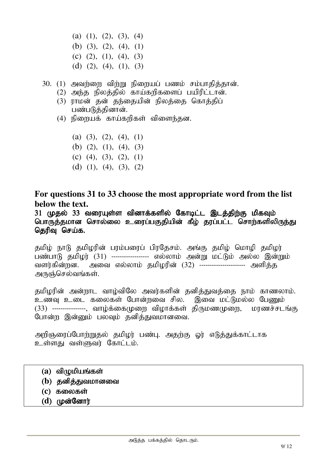(a)  $(1)$ ,  $(2)$ ,  $(3)$ ,  $(4)$ (b) (3), (2), (4), (1) (c)  $(2)$ ,  $(1)$ ,  $(4)$ ,  $(3)$ (d)  $(2)$ ,  $(4)$ ,  $(1)$ ,  $(3)$ 

 $30.$   $(1)$  அவற்றை விற்று நிறையப் பணம் சம்பாதித்தான்.

- $(2)$  அந்த நிலத்தில் காய்கறிகளைப் பயிரிட்டான்.
- (3) ராமன் தன் தந்தையின் நிலத்தை கொக்கிப் பண்படுத்தினான்.
- $(4)$  நிறையக் காய்கறிகள் விளைந்தன.

(a) (3), (2), (4), (1)

- (b) (2), (1), (4), (3)
- (c) (4), (3), (2), (1)
- (d)  $(1)$ ,  $(4)$ ,  $(3)$ ,  $(2)$

#### **For questions 31 to 33 choose the most appropriate word from the list below the text.**

31 முதல் 33 வரையுள்ள வினாக்களில் கோடிட்ட இடத்திற்கு மிகவும் பொருத்தமான சொல்லை உரைப்பகுதியின் கீழ் தரப்பட்ட சொற்களிலிருந்து தெரிவு செய்க.

தமிழ் நாடு தமிழரின் பரம்பரைப் பிரதேசம். அங்கு தமிழ் மொழி தமிழர் பண்பாடு தமிழர் (31) ------------------ எல்லாம் அன்று மட்டும் அல்ல இன்றும் வளர்கின்றன. அவை எல்லாம் கமிமரின் (32) ---------------------- அளிக்க அருஞ்செல்வங்கள்.

தமிழரின் அன்றாட வாழ்விலே அவர்களின் தனித்துவத்தை நாம் காணலாம். உணவு உடை கலைகள் போன்றவை சில. இவை மட்டுமல்ல பேணும் (33) ---------------, வாழ்க்கைமுறை விழாக்கள் திருமணமுறை, மரணச்சடங்கு போன்ற இன்னும் பலவும் தனித்துவமானவை.

அறிஞரைப்போற்றுதல் தமிழர் பண்பு. அதற்கு ஓர் எடுத்துக்காட்டாக உள்ளது வள்ளுவர் கோட்டம்.

- $(a)$  விழுமியங்கள்
- (**b**) தனித்துவமானவை
- (c) கலைகள்
- (d) முன்னோர்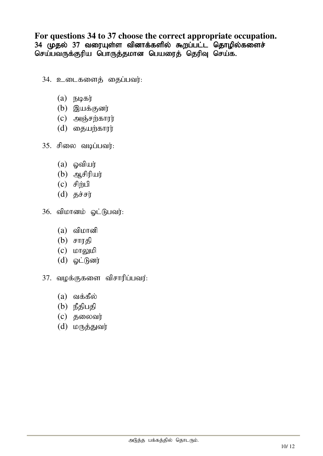### **For questions 34 to 37 choose the correct appropriate occupation.**

34 முதல் 37 வரையுள்ள வினாக்களில் கூறப்பட்ட தொழில்களைச் செய்பவருக்குரிய பொருத்தமான பெயரைத் தெரிவு செய்க.

- $34.$   $2\omega$ டைகளைத் தைப்பவர்:
	- $(a)$  நடிகர்
	- $(b)$  இயக்குனர்
	- $(c)$  அஞ்சற்காரர்
	- $(d)$  தையற்காரர்
- $35.$  சிலை வடிப்பவர்:
	- $(a)$  ஓவியர்
	- $(b)$  அசிரியர்
	- $(c)$  சிற்பி
	- (d)  $5J\dot{\sigma}$
- 36. விமானம் ஓட்டுபவர்:
	- $(a)$  விமானி
	- $(b)$  சாரகி
	- $(c)$   $L$  $n$ [go] $L$  $\theta$
	- $(d)$  @ட்டுனர்
- $37.$  வழக்குகளை விசாரிப்பவர்:
	- $(a)$  வக்கீல்
	- $(b)$  நீதிபதி
	- $(c)$  தலைவர்
	- $(d)$  மருத்துவர்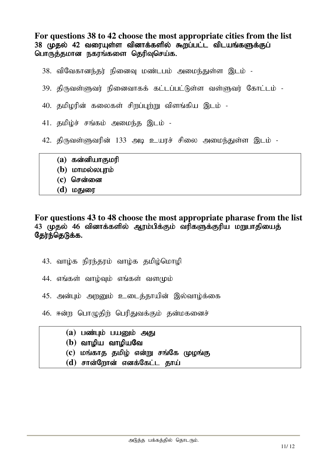**For questions 38 to 42 choose the most appropriate cities from the list**  38 முதல் 42 வரையுள்ள வினாக்களில் கூறப்பட்ட விடயங்களுக்குப் பொருத்தமான நகரங்களை தெரிவுசெய்க.

- 38. விவேகானந்தர் நினைவு மண்டபம் அமைந்துள்ள இடம் -
- $39.$  திருவள்ளுவர் நினைவாகக் கட்டப்பட்டுள்ள வள்ளுவர் கோட்டம் -
- 40. தமிழரின் கலைகள் சிறப்புற்று விளங்கிய இடம் -
- 41. தமிழ்ச் சங்கம் அமைந்த இடம் -
- 42. திருவள்ளுவரின் 133 அடி உயரச் சிலை அமைந்துள்ள இடம் -
	- (a) கன்னியாகுமரி
	- (b) **LOTILD** ENDING
	- (c) சென்னை
	- (d) மதுரை

#### **For questions 43 to 48 choose the most appropriate pharase from the list**  43 முதல் 46 வினாக்களில் ஆரம்பிக்கும் வரிகளுக்குரிய மறுபாதியைத் தேர்ந்தெடுக்க.

- $43.$  வாழ்க நிரந்தரம் வாழ்க தமிழ்மொழி
- $44.$  எங்கள் வாழ்வும் எங்கள் வளமும்
- 45. அன்பும் அறனும் உடைத்தாயின் இல்வாழ்க்கை
- 46. ஈன்ற பொழுதிற் பெரிதுவக்கும் தன்மகனைச்
	- (a) பண்பும் பயனும் அது
	- (b) வாமிய வாமியவே
	- (c) மங்காத தமிழ் என்று சங்கே முழங்கு
	- $(d)$  சான்றோன் எனக்கேட்ட தாய்